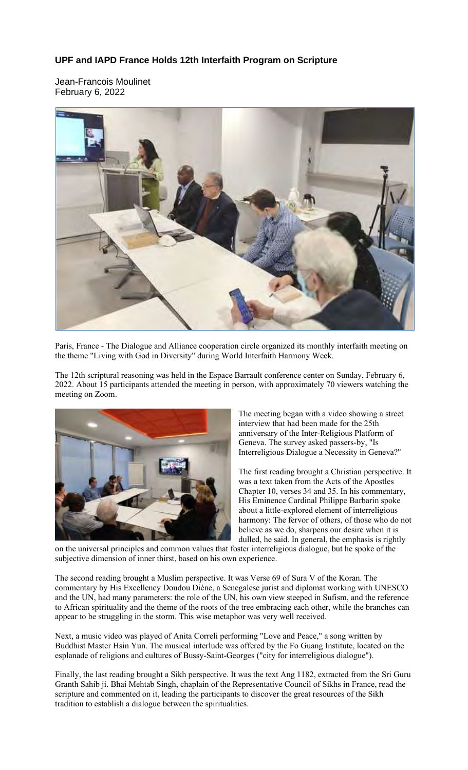## **UPF and IAPD France Holds 12th Interfaith Program on Scripture**

Jean-Francois Moulinet February 6, 2022



Paris, France - The Dialogue and Alliance cooperation circle organized its monthly interfaith meeting on the theme "Living with God in Diversity" during World Interfaith Harmony Week.

The 12th scriptural reasoning was held in the Espace Barrault conference center on Sunday, February 6, 2022. About 15 participants attended the meeting in person, with approximately 70 viewers watching the meeting on Zoom.



The meeting began with a video showing a street interview that had been made for the 25th anniversary of the Inter-Religious Platform of Geneva. The survey asked passers-by, "Is Interreligious Dialogue a Necessity in Geneva?"

The first reading brought a Christian perspective. It was a text taken from the Acts of the Apostles Chapter 10, verses 34 and 35. In his commentary, His Eminence Cardinal Philippe Barbarin spoke about a little-explored element of interreligious harmony: The fervor of others, of those who do not believe as we do, sharpens our desire when it is dulled, he said. In general, the emphasis is rightly

on the universal principles and common values that foster interreligious dialogue, but he spoke of the subjective dimension of inner thirst, based on his own experience.

The second reading brought a Muslim perspective. It was Verse 69 of Sura V of the Koran. The commentary by His Excellency Doudou Diène, a Senegalese jurist and diplomat working with UNESCO and the UN, had many parameters: the role of the UN, his own view steeped in Sufism, and the reference to African spirituality and the theme of the roots of the tree embracing each other, while the branches can appear to be struggling in the storm. This wise metaphor was very well received.

Next, a music video was played of Anita Correli performing "Love and Peace," a song written by Buddhist Master Hsin Yun. The musical interlude was offered by the Fo Guang Institute, located on the esplanade of religions and cultures of Bussy-Saint-Georges ("city for interreligious dialogue").

Finally, the last reading brought a Sikh perspective. It was the text Ang 1182, extracted from the Sri Guru Granth Sahib ji. Bhai Mehtab Singh, chaplain of the Representative Council of Sikhs in France, read the scripture and commented on it, leading the participants to discover the great resources of the Sikh tradition to establish a dialogue between the spiritualities.